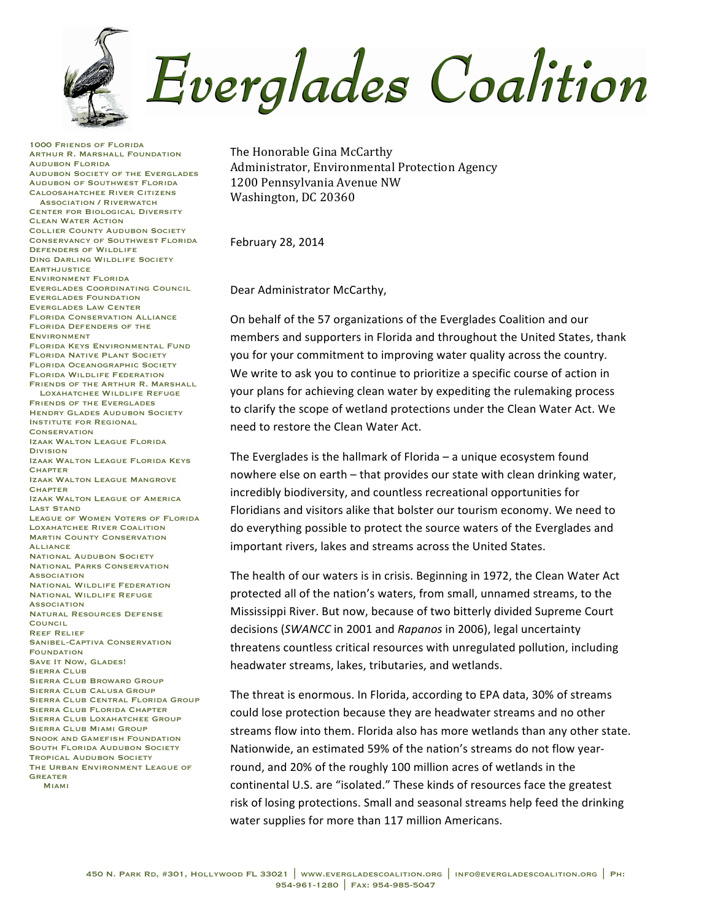

1000 Friends of Florida Arthur R. Marshall Foundation Audubon Florida Audubon Society of the Everglades Audubon of Southwest Florida Caloosahatchee River Citizens Association / Riverwatch Center for Biological Diversity Clean Water Action Collier County Audubon Society Conservancy of Southwest Florida Defenders of Wildlife Ding Darling Wildlife Society **EARTHJUSTICE** Environment Florida Everglades Coordinating Council Everglades Foundation Everglades Law Center Florida Conservation Alliance Florida Defenders of the **ENVIRONMENT** Florida Keys Environmental Fund Florida Native Plant Society Florida Oceanographic Society Florida Wildlife Federation Friends of the Arthur R. Marshall Loxahatchee Wildlife Refuge Friends of the Everglades Hendry Glades Audubon Society Institute for Regional **CONSERVATION** Izaak Walton League Florida Division Izaak Walton League Florida Keys **CHAPTER** Izaak Walton League Mangrove **CHAPTER** Izaak Walton League of America Last Stand League of Women Voters of Florida Loxahatchee River Coalition **MARTIN COUNTY CONSERVATION** Alliance **NATIONAL AUDUBON SOCIETY** National Parks Conservation **ASSOCIATION** National Wildlife Federation National Wildlife Refuge **ASSOCIATION** Natural Resources Defense **COUNCIL** Reef Relief Sanibel-Captiva Conservation **FOUNDATION** SAVE IT NOW, GLADES! SIERRA CLUB Sierra Club Broward Group Sierra Club Calusa Group Sierra Club Central Florida Group Sierra Club Florida Chapter Sierra Club Loxahatchee Group Sierra Club Miami Group SNOOK AND GAMEFISH FOUNDATION SOUTH FLORIDA AUDUBON SOCIETY Tropical Audubon Society The Urban Environment League of **GREATER** Miami

The Honorable Gina McCarthy Administrator, Environmental Protection Agency 1200 Pennsylvania Avenue NW Washington, DC 20360

February 28, 2014

Dear Administrator McCarthy,

On behalf of the 57 organizations of the Everglades Coalition and our members and supporters in Florida and throughout the United States, thank you for your commitment to improving water quality across the country. We write to ask you to continue to prioritize a specific course of action in your plans for achieving clean water by expediting the rulemaking process to clarify the scope of wetland protections under the Clean Water Act. We need to restore the Clean Water Act.

The Everglades is the hallmark of Florida  $-$  a unique ecosystem found nowhere else on earth – that provides our state with clean drinking water, incredibly biodiversity, and countless recreational opportunities for Floridians and visitors alike that bolster our tourism economy. We need to do everything possible to protect the source waters of the Everglades and important rivers, lakes and streams across the United States.

The health of our waters is in crisis. Beginning in 1972, the Clean Water Act protected all of the nation's waters, from small, unnamed streams, to the Mississippi River. But now, because of two bitterly divided Supreme Court decisions (SWANCC in 2001 and *Rapanos* in 2006), legal uncertainty threatens countless critical resources with unregulated pollution, including headwater streams, lakes, tributaries, and wetlands.

The threat is enormous. In Florida, according to EPA data, 30% of streams could lose protection because they are headwater streams and no other streams flow into them. Florida also has more wetlands than any other state. Nationwide, an estimated 59% of the nation's streams do not flow yearround, and 20% of the roughly 100 million acres of wetlands in the continental U.S. are "isolated." These kinds of resources face the greatest risk of losing protections. Small and seasonal streams help feed the drinking water supplies for more than 117 million Americans.